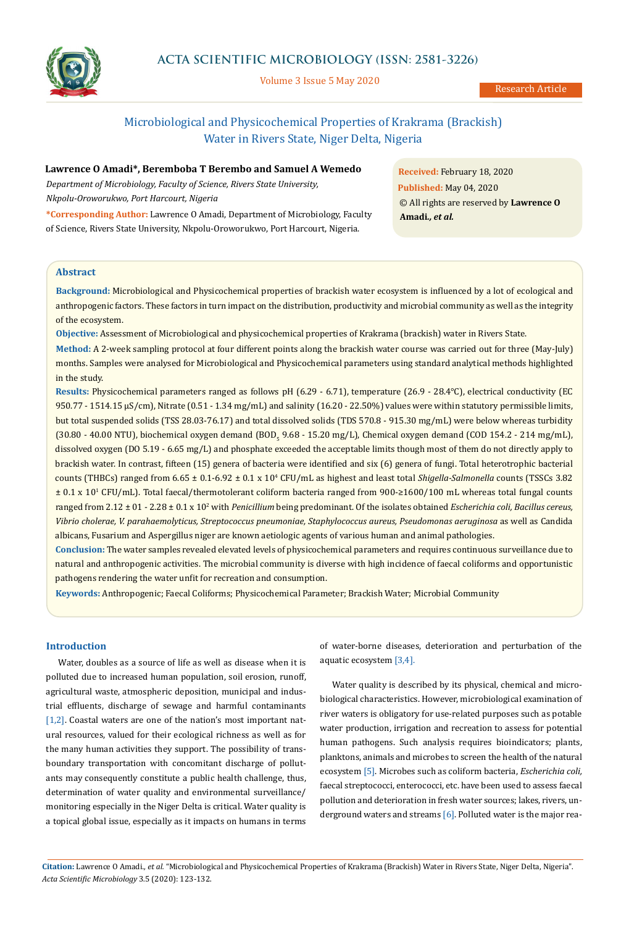

# **ACTA SCIENTIFIC MICROBIOLOGY (ISSN: 2581-3226)**

Volume 3 Issue 5 May 2020

# Microbiological and Physicochemical Properties of Krakrama (Brackish) Water in Rivers State, Niger Delta, Nigeria

# **Lawrence O Amadi\*, Beremboba T Berembo and Samuel A Wemedo**

*Department of Microbiology, Faculty of Science, Rivers State University, Nkpolu-Oroworukwo, Port Harcourt, Nigeria*

**\*Corresponding Author:** Lawrence O Amadi, Department of Microbiology, Faculty of Science, Rivers State University, Nkpolu-Oroworukwo, Port Harcourt, Nigeria.

**Received:** February 18, 2020 **Published:** May 04, 2020 © All rights are reserved by **Lawrence O Amadi***., et al.*

## **Abstract**

**Background:** Microbiological and Physicochemical properties of brackish water ecosystem is influenced by a lot of ecological and anthropogenic factors. These factors in turn impact on the distribution, productivity and microbial community as well as the integrity of the ecosystem.

**Objective:** Assessment of Microbiological and physicochemical properties of Krakrama (brackish) water in Rivers State.

**Method:** A 2-week sampling protocol at four different points along the brackish water course was carried out for three (May-July) months. Samples were analysed for Microbiological and Physicochemical parameters using standard analytical methods highlighted in the study.

**Results:** Physicochemical parameters ranged as follows pH (6.29 - 6.71), temperature (26.9 - 28.4℃), electrical conductivity (EC 950.77 - 1514.15 µS/cm), Nitrate (0.51 - 1.34 mg/mL) and salinity (16.20 - 22.50%) values were within statutory permissible limits, but total suspended solids (TSS 28.03-76.17) and total dissolved solids (TDS 570.8 - 915.30 mg/mL) were below whereas turbidity (30.80 - 40.00 NTU), biochemical oxygen demand (BOD<sub>5</sub> 9.68 - 15.20 mg/L), Chemical oxygen demand (COD 154.2 - 214 mg/mL), dissolved oxygen (DO 5.19 - 6.65 mg/L) and phosphate exceeded the acceptable limits though most of them do not directly apply to brackish water. In contrast, fifteen (15) genera of bacteria were identified and six (6) genera of fungi. Total heterotrophic bacterial counts (THBCs) ranged from 6.65 ± 0.1-6.92 ± 0.1 x 104 CFU/mL as highest and least total *Shigella-Salmonella* counts (TSSCs 3.82 ± 0.1 x 101 CFU/mL). Total faecal/thermotolerant coliform bacteria ranged from 900-≥1600/100 mL whereas total fungal counts ranged from 2.12 ± 01 - 2.28 ± 0.1 x 102 with *Penicillium* being predominant. Of the isolates obtained *Escherichia coli, Bacillus cereus, Vibrio cholerae, V. parahaemolyticus, Streptococcus pneumoniae, Staphylococcus aureus, Pseudomonas aeruginosa* as well as Candida albicans, Fusarium and Aspergillus niger are known aetiologic agents of various human and animal pathologies.

**Conclusion:** The water samples revealed elevated levels of physicochemical parameters and requires continuous surveillance due to natural and anthropogenic activities. The microbial community is diverse with high incidence of faecal coliforms and opportunistic pathogens rendering the water unfit for recreation and consumption.

**Keywords:** Anthropogenic; Faecal Coliforms; Physicochemical Parameter; Brackish Water; Microbial Community

# **Introduction**

Water, doubles as a source of life as well as disease when it is polluted due to increased human population, soil erosion, runoff, agricultural waste, atmospheric deposition, municipal and industrial effluents, discharge of sewage and harmful contaminants [1,2]. Coastal waters are one of the nation's most important natural resources, valued for their ecological richness as well as for the many human activities they support. The possibility of transboundary transportation with concomitant discharge of pollutants may consequently constitute a public health challenge, thus, determination of water quality and environmental surveillance/ monitoring especially in the Niger Delta is critical. Water quality is a topical global issue, especially as it impacts on humans in terms

of water-borne diseases, deterioration and perturbation of the aquatic ecosystem [3,4].

Water quality is described by its physical, chemical and microbiological characteristics. However, microbiological examination of river waters is obligatory for use-related purposes such as potable water production, irrigation and recreation to assess for potential human pathogens. Such analysis requires bioindicators; plants, planktons, animals and microbes to screen the health of the natural ecosystem [5]. Microbes such as coliform bacteria, *Escherichia coli,*  faecal streptococci, enterococci, etc. have been used to assess faecal pollution and deterioration in fresh water sources; lakes, rivers, underground waters and streams [6]. Polluted water is the major rea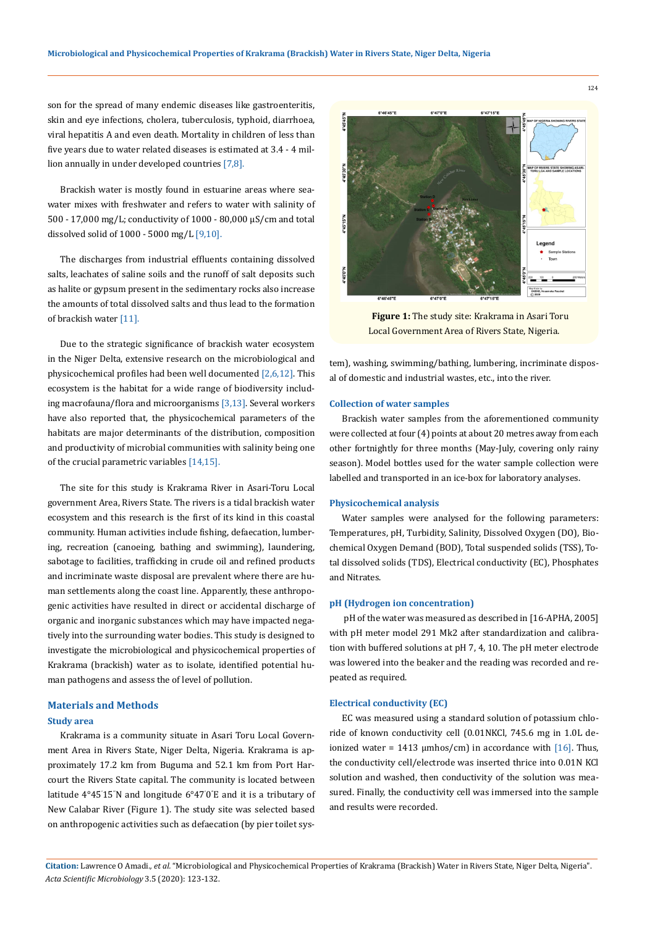son for the spread of many endemic diseases like gastroenteritis, skin and eye infections, cholera, tuberculosis, typhoid, diarrhoea, viral hepatitis A and even death. Mortality in children of less than five years due to water related diseases is estimated at 3.4 - 4 million annually in under developed countries [7,8].

Brackish water is mostly found in estuarine areas where seawater mixes with freshwater and refers to water with salinity of 500 - 17,000 mg/L; conductivity of 1000 - 80,000 µS/cm and total dissolved solid of 1000 - 5000 mg/L [9,10].

The discharges from industrial effluents containing dissolved salts, leachates of saline soils and the runoff of salt deposits such as halite or gypsum present in the sedimentary rocks also increase the amounts of total dissolved salts and thus lead to the formation of brackish water [11].

Due to the strategic significance of brackish water ecosystem in the Niger Delta, extensive research on the microbiological and physicochemical profiles had been well documented [2,6,12]. This ecosystem is the habitat for a wide range of biodiversity including macrofauna/flora and microorganisms [3,13]. Several workers have also reported that, the physicochemical parameters of the habitats are major determinants of the distribution, composition and productivity of microbial communities with salinity being one of the crucial parametric variables [14,15].

The site for this study is Krakrama River in Asari-Toru Local government Area, Rivers State. The rivers is a tidal brackish water ecosystem and this research is the first of its kind in this coastal community. Human activities include fishing, defaecation, lumbering, recreation (canoeing, bathing and swimming), laundering, sabotage to facilities, trafficking in crude oil and refined products and incriminate waste disposal are prevalent where there are human settlements along the coast line. Apparently, these anthropogenic activities have resulted in direct or accidental discharge of organic and inorganic substances which may have impacted negatively into the surrounding water bodies. This study is designed to investigate the microbiological and physicochemical properties of Krakrama (brackish) water as to isolate, identified potential human pathogens and assess the of level of pollution.

# **Materials and Methods Study area**

Krakrama is a community situate in Asari Toru Local Government Area in Rivers State, Niger Delta, Nigeria. Krakrama is approximately 17.2 km from Buguma and 52.1 km from Port Harcourt the Rivers State capital. The community is located between latitude  $4^{\circ}45^{\prime}15^{\prime}$ N and longitude  $6^{\circ}470^{\prime}$ E and it is a tributary of New Calabar River (Figure 1). The study site was selected based on anthropogenic activities such as defaecation (by pier toilet sys-



**Figure 1:** The study site: Krakrama in Asari Toru Local Government Area of Rivers State, Nigeria.

tem), washing, swimming/bathing, lumbering, incriminate disposal of domestic and industrial wastes, etc., into the river.

#### **Collection of water samples**

Brackish water samples from the aforementioned community were collected at four (4) points at about 20 metres away from each other fortnightly for three months (May-July, covering only rainy season). Model bottles used for the water sample collection were labelled and transported in an ice-box for laboratory analyses.

## **Physicochemical analysis**

Water samples were analysed for the following parameters: Temperatures, pH, Turbidity, Salinity, Dissolved Oxygen (DO), Biochemical Oxygen Demand (BOD), Total suspended solids (TSS), Total dissolved solids (TDS), Electrical conductivity (EC), Phosphates and Nitrates.

#### **pH (Hydrogen ion concentration)**

 pH of the water was measured as described in [16-APHA, 2005] with pH meter model 291 Mk2 after standardization and calibration with buffered solutions at pH 7, 4, 10. The pH meter electrode was lowered into the beaker and the reading was recorded and repeated as required.

## **Electrical conductivity (EC)**

EC was measured using a standard solution of potassium chloride of known conductivity cell (0.01NKCl, 745.6 mg in 1.0L deionized water = 1413  $\mu$ mhos/cm) in accordance with [16]. Thus, the conductivity cell/electrode was inserted thrice into 0.01N KCl solution and washed, then conductivity of the solution was measured. Finally, the conductivity cell was immersed into the sample and results were recorded.

**Citation:** Lawrence O Amadi*., et al.* "Microbiological and Physicochemical Properties of Krakrama (Brackish) Water in Rivers State, Niger Delta, Nigeria". *Acta Scientific Microbiology* 3.5 (2020): 123-132.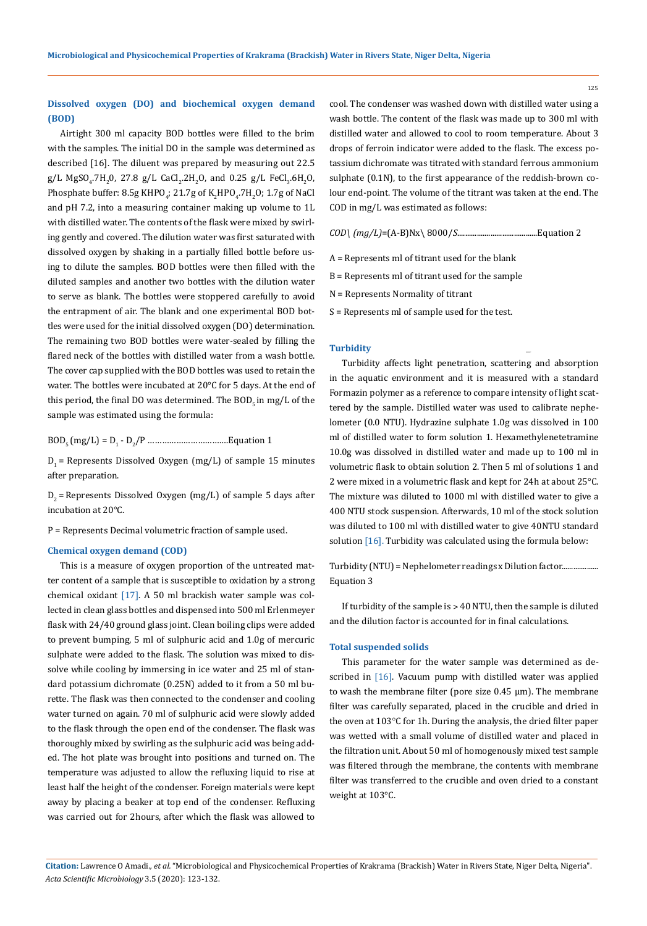# **Dissolved oxygen (DO) and biochemical oxygen demand (BOD)**

Airtight 300 ml capacity BOD bottles were filled to the brim with the samples. The initial DO in the sample was determined as described [16]. The diluent was prepared by measuring out 22.5  $g/L$  MgSO<sub>4</sub>.7H<sub>2</sub>0, 27.8 g/L CaCl<sub>2</sub>.2H<sub>2</sub>O, and 0.25 g/L FeCl<sub>3</sub>.6H<sub>2</sub>O, Phosphate buffer: 8.5g KHPO<sub>4</sub>; 21.7g of K<sub>2</sub>HPO<sub>4</sub>.7H<sub>2</sub>O; 1.7g of NaCl and pH 7.2, into a measuring container making up volume to 1L with distilled water. The contents of the flask were mixed by swirling gently and covered. The dilution water was first saturated with dissolved oxygen by shaking in a partially filled bottle before using to dilute the samples. BOD bottles were then filled with the diluted samples and another two bottles with the dilution water to serve as blank. The bottles were stoppered carefully to avoid the entrapment of air. The blank and one experimental BOD bottles were used for the initial dissolved oxygen (DO) determination. The remaining two BOD bottles were water-sealed by filling the flared neck of the bottles with distilled water from a wash bottle. The cover cap supplied with the BOD bottles was used to retain the water. The bottles were incubated at 20°C for 5 days. At the end of this period, the final DO was determined. The  $BOD<sub>5</sub>$  in mg/L of the sample was estimated using the formula:

BOD5 (mg/L) = D1 - D2 /P …………………………….Equation 1

 $D_1$  = Represents Dissolved Oxygen (mg/L) of sample 15 minutes after preparation.

 $D_2$  = Represents Dissolved Oxygen (mg/L) of sample 5 days after incubation at 20°C.

P = Represents Decimal volumetric fraction of sample used.

#### **Chemical oxygen demand (COD)**

This is a measure of oxygen proportion of the untreated matter content of a sample that is susceptible to oxidation by a strong chemical oxidant [17]. A 50 ml brackish water sample was collected in clean glass bottles and dispensed into 500 ml Erlenmeyer flask with 24/40 ground glass joint. Clean boiling clips were added to prevent bumping, 5 ml of sulphuric acid and 1.0g of mercuric sulphate were added to the flask. The solution was mixed to dissolve while cooling by immersing in ice water and 25 ml of standard potassium dichromate (0.25N) added to it from a 50 ml burette. The flask was then connected to the condenser and cooling water turned on again. 70 ml of sulphuric acid were slowly added to the flask through the open end of the condenser. The flask was thoroughly mixed by swirling as the sulphuric acid was being added. The hot plate was brought into positions and turned on. The temperature was adjusted to allow the refluxing liquid to rise at least half the height of the condenser. Foreign materials were kept away by placing a beaker at top end of the condenser. Refluxing was carried out for 2hours, after which the flask was allowed to

cool. The condenser was washed down with distilled water using a wash bottle. The content of the flask was made up to 300 ml with distilled water and allowed to cool to room temperature. About 3 drops of ferroin indicator were added to the flask. The excess potassium dichromate was titrated with standard ferrous ammonium sulphate (0.1N), to the first appearance of the reddish-brown colour end-point. The volume of the titrant was taken at the end. The COD in mg/L was estimated as follows:

$$
COD \ (mg/L) = (A-B)Nx \ 8000/S
$$
.................Equation 2

- A = Represents ml of titrant used for the blank
- B = Represents ml of titrant used for the sample
- N = Represents Normality of titrant
- S = Represents ml of sample used for the test.

#### **Turbidity**

Turbidity affects light penetration, scattering and absorption in the aquatic environment and it is measured with a standard Formazin polymer as a reference to compare intensity of light scattered by the sample. Distilled water was used to calibrate nephelometer (0.0 NTU). Hydrazine sulphate 1.0g was dissolved in 100 ml of distilled water to form solution 1. Hexamethylenetetramine 10.0g was dissolved in distilled water and made up to 100 ml in volumetric flask to obtain solution 2. Then 5 ml of solutions 1 and 2 were mixed in a volumetric flask and kept for 24h at about 25°C. The mixture was diluted to 1000 ml with distilled water to give a 400 NTU stock suspension. Afterwards, 10 ml of the stock solution was diluted to 100 ml with distilled water to give 40NTU standard solution [16]. Turbidity was calculated using the formula below:

Turbidity (NTU) = Nephelometer readings x Dilution factor................... Equation 3

If turbidity of the sample is  $> 40$  NTU, then the sample is diluted and the dilution factor is accounted for in final calculations.

#### **Total suspended solids**

This parameter for the water sample was determined as described in [16]. Vacuum pump with distilled water was applied to wash the membrane filter (pore size  $0.45 \mu m$ ). The membrane filter was carefully separated, placed in the crucible and dried in the oven at 103°C for 1h. During the analysis, the dried filter paper was wetted with a small volume of distilled water and placed in the filtration unit. About 50 ml of homogenously mixed test sample was filtered through the membrane, the contents with membrane filter was transferred to the crucible and oven dried to a constant weight at 103°C.

**Citation:** Lawrence O Amadi*., et al.* "Microbiological and Physicochemical Properties of Krakrama (Brackish) Water in Rivers State, Niger Delta, Nigeria". *Acta Scientific Microbiology* 3.5 (2020): 123-132.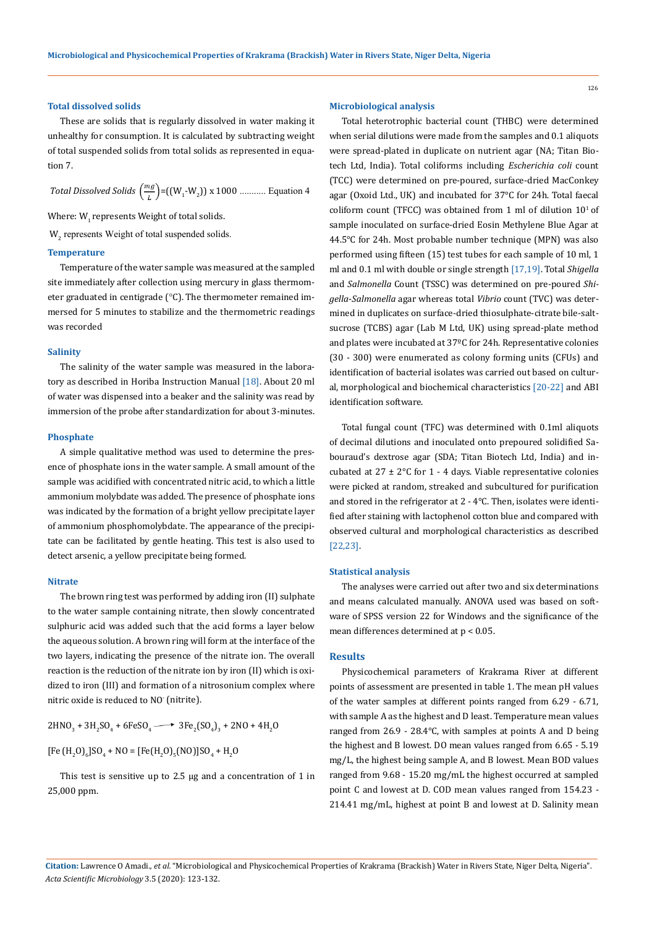#### **Total dissolved solids**

These are solids that is regularly dissolved in water making it unhealthy for consumption. It is calculated by subtracting weight of total suspended solids from total solids as represented in equation 7.

*Total Dissolved Solids*  $\left(\frac{mg}{L}\right) = ((W_1-W_2)) \times 1000$  ........... Equation 4

Where:  $W_1$  represents Weight of total solids.

W<sub>2</sub> represents Weight of total suspended solids.

### **Temperature**

Temperature of the water sample was measured at the sampled site immediately after collection using mercury in glass thermometer graduated in centigrade (°C). The thermometer remained immersed for 5 minutes to stabilize and the thermometric readings was recorded

#### **Salinity**

The salinity of the water sample was measured in the laboratory as described in Horiba Instruction Manual [18]. About 20 ml of water was dispensed into a beaker and the salinity was read by immersion of the probe after standardization for about 3-minutes.

#### **Phosphate**

A simple qualitative method was used to determine the presence of phosphate ions in the water sample. A small amount of the sample was acidified with concentrated nitric acid, to which a little ammonium molybdate was added. The presence of phosphate ions was indicated by the formation of a bright yellow precipitate layer of ammonium phosphomolybdate. The appearance of the precipitate can be facilitated by gentle heating. This test is also used to detect arsenic, a yellow precipitate being formed.

#### **Nitrate**

The brown ring test was performed by adding iron (II) sulphate to the water sample containing nitrate, then slowly concentrated sulphuric acid was added such that the acid forms a layer below the aqueous solution. A brown ring will form at the interface of the two layers, indicating the presence of the nitrate ion. The overall reaction is the reduction of the nitrate ion by iron (II) which is oxidized to iron (III) and formation of a nitrosonium complex where nitric oxide is reduced to NO- (nitrite).

 $2HNO_3 + 3H_2SO_4 + 6FeSO_4 \longrightarrow 3Fe_2(SO_4)_3 + 2NO + 4H_2O$ 

[Fe  $(H_2O)_6$ ]SO<sub>4</sub> + NO = [Fe(H<sub>2</sub>O)<sub>5</sub>(NO)]SO<sub>4</sub> + H<sub>2</sub>O

This test is sensitive up to 2.5 µg and a concentration of 1 in 25,000 ppm.

#### **Microbiological analysis**

Total heterotrophic bacterial count (THBC) were determined when serial dilutions were made from the samples and 0.1 aliquots were spread-plated in duplicate on nutrient agar (NA; Titan Biotech Ltd, India). Total coliforms including *Escherichia coli* count (TCC) were determined on pre-poured, surface-dried MacConkey agar (Oxoid Ltd., UK) and incubated for 37°C for 24h. Total faecal coliform count (TFCC) was obtained from 1 ml of dilution  $10<sup>1</sup>$  of sample inoculated on surface-dried Eosin Methylene Blue Agar at 44.5℃ for 24h. Most probable number technique (MPN) was also performed using fifteen (15) test tubes for each sample of 10 ml, 1 ml and 0.1 ml with double or single strength [17,19]. Total *Shigella* and *Salmonella* Count (TSSC) was determined on pre-poured *Shigella*-*Salmonella* agar whereas total *Vibrio* count (TVC) was determined in duplicates on surface-dried thiosulphate-citrate bile-saltsucrose (TCBS) agar (Lab M Ltd, UK) using spread-plate method and plates were incubated at 37ºC for 24h. Representative colonies (30 - 300) were enumerated as colony forming units (CFUs) and identification of bacterial isolates was carried out based on cultural, morphological and biochemical characteristics [20-22] and ABI identification software.

Total fungal count (TFC) was determined with 0.1ml aliquots of decimal dilutions and inoculated onto prepoured solidified Sabouraud's dextrose agar (SDA; Titan Biotech Ltd, India) and incubated at  $27 \pm 2^{\circ}$ C for 1 - 4 days. Viable representative colonies were picked at random, streaked and subcultured for purification and stored in the refrigerator at 2 - 4°C. Then, isolates were identified after staining with lactophenol cotton blue and compared with observed cultural and morphological characteristics as described [22,23].

## **Statistical analysis**

The analyses were carried out after two and six determinations and means calculated manually. ANOVA used was based on software of SPSS version 22 for Windows and the significance of the mean differences determined at p < 0.05.

#### **Results**

Physicochemical parameters of Krakrama River at different points of assessment are presented in table 1. The mean pH values of the water samples at different points ranged from 6.29 - 6.71, with sample A as the highest and D least. Temperature mean values ranged from 26.9 - 28.4℃, with samples at points A and D being the highest and B lowest. DO mean values ranged from 6.65 - 5.19 mg/L, the highest being sample A, and B lowest. Mean BOD values ranged from 9.68 - 15.20 mg/mL the highest occurred at sampled point C and lowest at D. COD mean values ranged from 154.23 - 214.41 mg/mL, highest at point B and lowest at D. Salinity mean

**Citation:** Lawrence O Amadi*., et al.* "Microbiological and Physicochemical Properties of Krakrama (Brackish) Water in Rivers State, Niger Delta, Nigeria". *Acta Scientific Microbiology* 3.5 (2020): 123-132.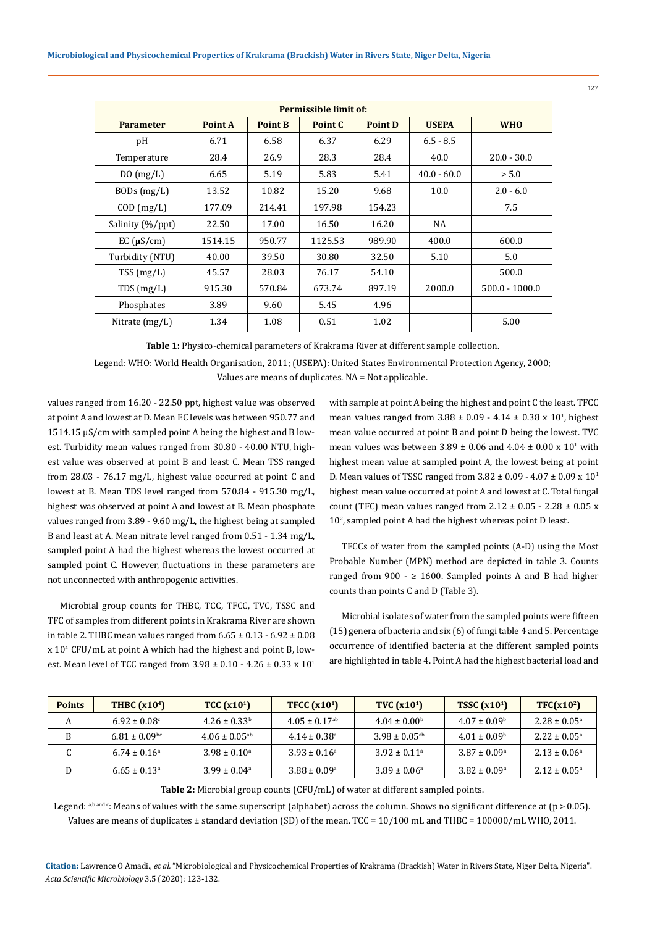| Permissible limit of: |         |                |         |                |               |                  |
|-----------------------|---------|----------------|---------|----------------|---------------|------------------|
| <b>Parameter</b>      | Point A | <b>Point B</b> | Point C | <b>Point D</b> | <b>USEPA</b>  | <b>WHO</b>       |
| pH                    | 6.71    | 6.58           | 6.37    | 6.29           | $6.5 - 8.5$   |                  |
| Temperature           | 28.4    | 26.9           | 28.3    | 28.4           | 40.0          | $20.0 - 30.0$    |
| $D0$ (mg/L)           | 6.65    | 5.19           | 5.83    | 5.41           | $40.0 - 60.0$ | $\geq 5.0$       |
| $BODs$ (mg/L)         | 13.52   | 10.82          | 15.20   | 9.68           | 10.0          | $2.0 - 6.0$      |
| $COD$ (mg/L)          | 177.09  | 214.41         | 197.98  | 154.23         |               | 7.5              |
| Salinity (%/ppt)      | 22.50   | 17.00          | 16.50   | 16.20          | NA            |                  |
| $EC$ ( $\mu S/cm$ )   | 1514.15 | 950.77         | 1125.53 | 989.90         | 400.0         | 600.0            |
| Turbidity (NTU)       | 40.00   | 39.50          | 30.80   | 32.50          | 5.10          | 5.0              |
| TSS(mg/L)             | 45.57   | 28.03          | 76.17   | 54.10          |               | 500.0            |
| TDS(mg/L)             | 915.30  | 570.84         | 673.74  | 897.19         | 2000.0        | $500.0 - 1000.0$ |
| Phosphates            | 3.89    | 9.60           | 5.45    | 4.96           |               |                  |
| Nitrate $(mg/L)$      | 1.34    | 1.08           | 0.51    | 1.02           |               | 5.00             |

**Table 1:** Physico-chemical parameters of Krakrama River at different sample collection.

Legend: WHO: World Health Organisation, 2011; (USEPA): United States Environmental Protection Agency, 2000; Values are means of duplicates. NA = Not applicable.

values ranged from 16.20 - 22.50 ppt, highest value was observed at point A and lowest at D. Mean EC levels was between 950.77 and 1514.15 µS/cm with sampled point A being the highest and B lowest. Turbidity mean values ranged from 30.80 - 40.00 NTU, highest value was observed at point B and least C. Mean TSS ranged from 28.03 - 76.17 mg/L, highest value occurred at point C and lowest at B. Mean TDS level ranged from 570.84 - 915.30 mg/L, highest was observed at point A and lowest at B. Mean phosphate values ranged from 3.89 - 9.60 mg/L, the highest being at sampled B and least at A. Mean nitrate level ranged from 0.51 - 1.34 mg/L, sampled point A had the highest whereas the lowest occurred at sampled point C. However, fluctuations in these parameters are not unconnected with anthropogenic activities.

Microbial group counts for THBC, TCC, TFCC, TVC, TSSC and TFC of samples from different points in Krakrama River are shown in table 2. THBC mean values ranged from  $6.65 \pm 0.13 - 6.92 \pm 0.08$ x 104 CFU/mL at point A which had the highest and point B, lowest. Mean level of TCC ranged from  $3.98 \pm 0.10 - 4.26 \pm 0.33 \times 10^{1}$ 

with sample at point A being the highest and point C the least. TFCC mean values ranged from  $3.88 \pm 0.09$  -  $4.14 \pm 0.38$  x  $10<sup>1</sup>$ , highest mean value occurred at point B and point D being the lowest. TVC mean values was between  $3.89 \pm 0.06$  and  $4.04 \pm 0.00$  x  $10<sup>1</sup>$  with highest mean value at sampled point A, the lowest being at point D. Mean values of TSSC ranged from  $3.82 \pm 0.09 - 4.07 \pm 0.09 \times 10^{1}$ highest mean value occurred at point A and lowest at C. Total fungal count (TFC) mean values ranged from  $2.12 \pm 0.05 - 2.28 \pm 0.05$  x  $10<sup>2</sup>$ , sampled point A had the highest whereas point D least.

TFCCs of water from the sampled points (A-D) using the Most Probable Number (MPN) method are depicted in table 3. Counts ranged from 900 -  $\geq$  1600. Sampled points A and B had higher counts than points C and D (Table 3).

Microbial isolates of water from the sampled points were fifteen (15) genera of bacteria and six (6) of fungi table 4 and 5. Percentage occurrence of identified bacteria at the different sampled points are highlighted in table 4. Point A had the highest bacterial load and

| <b>Points</b> | THBC $(x104)$                 | TCC (x10 <sup>1</sup> )       | TFCC $(x101)$                 | TVC $(x10^1)$                 | TSSC $(x101)$           | TFC(x10 <sup>2</sup> )  |
|---------------|-------------------------------|-------------------------------|-------------------------------|-------------------------------|-------------------------|-------------------------|
| A             | $6.92 \pm 0.08$ °             | $4.26 \pm 0.33^b$             | $4.05 \pm 0.17$ <sup>ab</sup> | $4.04 \pm 0.00^{\rm b}$       | $4.07 \pm 0.09^{\circ}$ | $2.28 \pm 0.05^{\circ}$ |
|               | $6.81 \pm 0.09$ <sup>bc</sup> | $4.06 \pm 0.05$ <sup>ab</sup> | $4.14 \pm 0.38$ <sup>a</sup>  | $3.98 \pm 0.05$ <sup>ab</sup> | $4.01 \pm 0.09^{\circ}$ | $2.22 \pm 0.05^{\circ}$ |
|               | $6.74 \pm 0.16^{\circ}$       | $3.98 \pm 0.10^{\circ}$       | $3.93 \pm 0.16^{\circ}$       | $3.92 \pm 0.11$ <sup>a</sup>  | $3.87 \pm 0.09^{\circ}$ | $2.13 \pm 0.06^{\circ}$ |
|               | $6.65 \pm 0.13$ <sup>a</sup>  | $3.99 \pm 0.04^{\circ}$       | $3.88 \pm 0.09^{\circ}$       | $3.89 \pm 0.06^{\circ}$       | $3.82 \pm 0.09^{\circ}$ | $2.12 \pm 0.05^{\circ}$ |

**Table 2:** Microbial group counts (CFU/mL) of water at different sampled points.

Legend: a,b and c: Means of values with the same superscript (alphabet) across the column. Shows no significant difference at ( $p > 0.05$ ). Values are means of duplicates ± standard deviation (SD) of the mean. TCC = 10/100 mL and THBC = 100000/mL WHO, 2011.

**Citation:** Lawrence O Amadi*., et al.* "Microbiological and Physicochemical Properties of Krakrama (Brackish) Water in Rivers State, Niger Delta, Nigeria". *Acta Scientific Microbiology* 3.5 (2020): 123-132.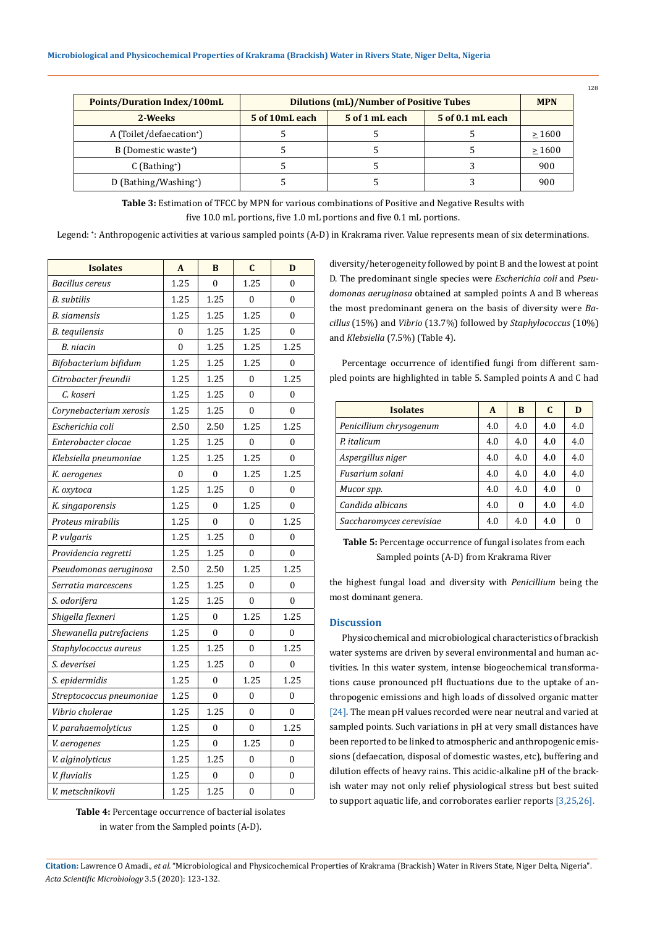| Points/Duration Index/100mL          | <b>Dilutions (mL)/Number of Positive Tubes</b> |                |                  |             |
|--------------------------------------|------------------------------------------------|----------------|------------------|-------------|
| 2-Weeks                              | 5 of 10mL each                                 | 5 of 1 mL each | 5 of 0.1 mL each |             |
| A (Toilet/defaecation <sup>+</sup> ) |                                                |                |                  | >1600       |
| B (Domestic waste <sup>+</sup> )     |                                                |                |                  | $\geq 1600$ |
| $C$ (Bathing <sup>+</sup> )          |                                                |                |                  | 900         |
| D (Bathing/Washing <sup>+</sup> )    |                                                |                |                  | 900         |

Table 3: Estimation of TFCC by MPN for various combinations of Positive and Negative Results with five 10.0 mL portions, five 1.0 mL portions and five 0.1 mL portions.

Legend: + : Anthropogenic activities at various sampled points (A-D) in Krakrama river. Value represents mean of six determinations.

| <b>Isolates</b>          | $\mathbf{A}$     | B                | $\mathbf C$    | D                |
|--------------------------|------------------|------------------|----------------|------------------|
| <b>Bacillus</b> cereus   | 1.25             | $\theta$         | 1.25           | 0                |
| B. subtilis              | 1.25             | 1.25             | $\theta$       | $\theta$         |
| <b>B.</b> siamensis      | 1.25             | 1.25             | 1.25           | 0                |
| B. tequilensis           | 0                | 1.25             | 1.25           | 0                |
| B. niacin                | $\overline{0}$   | 1.25             | 1.25           | 1.25             |
| Bifobacterium bifidum    | 1.25             | 1.25             | 1.25           | $\boldsymbol{0}$ |
| Citrobacter freundii     | 1.25             | 1.25             | $\theta$       | 1.25             |
| C. koseri                | 1.25             | 1.25             | 0              | 0                |
| Corynebacterium xerosis  | 1.25             | 1.25             | 0              | 0                |
| Escherichia coli         | 2.50             | 2.50             | 1.25           | 1.25             |
| Enterobacter clocae      | 1.25             | 1.25             | $\overline{0}$ | $\mathbf{0}$     |
| Klebsiella pneumoniae    | 1.25             | 1.25             | 1.25           | $\theta$         |
| K. aerogenes             | $\boldsymbol{0}$ | 0                | 1.25           | 1.25             |
| K. oxytoca               | 1.25             | 1.25             | $\mathbf{0}$   | 0                |
| K. singaporensis         | 1.25             | $\mathbf{0}$     | 1.25           | $\mathbf{0}$     |
| Proteus mirabilis        | 1.25             | $\theta$         | $\mathbf{0}$   | 1.25             |
| P. vulgaris              | 1.25             | 1.25             | $\overline{0}$ | $\mathbf{0}$     |
| Providencia regretti     | 1.25             | 1.25             | $\mathbf{0}$   | $\overline{0}$   |
| Pseudomonas aeruginosa   | 2.50             | 2.50             | 1.25           | 1.25             |
| Serratia marcescens      | 1.25             | 1.25             | 0              | $\mathbf{0}$     |
| S. odorifera             | 1.25             | 1.25             | $\mathbf{0}$   | $\mathbf{0}$     |
| Shigella flexneri        | 1.25             | $\mathbf{0}$     | 1.25           | 1.25             |
| Shewanella putrefaciens  | 1.25             | 0                | 0              | $\mathbf{0}$     |
| Staphylococcus aureus    | 1.25             | 1.25             | $\mathbf{0}$   | 1.25             |
| S. deverisei             | 1.25             | 1.25             | 0              | 0                |
| S. epidermidis           | 1.25             | $\boldsymbol{0}$ | 1.25           | 1.25             |
| Streptococcus pneumoniae | 1.25             | $\mathbf{0}$     | 0              | $\boldsymbol{0}$ |
| Vibrio cholerae          | 1.25             | 1.25             | $\theta$       | $\mathbf{0}$     |
| V. parahaemolyticus      | 1.25             | $\theta$         | $\theta$       | 1.25             |
| V. aerogenes             | 1.25             | $\mathbf{0}$     | 1.25           | $\mathbf{0}$     |
| V. alginolyticus         | 1.25             | 1.25             | $\mathbf{0}$   | $\mathbf{0}$     |
| V. fluvialis             | 1.25             | $\mathbf{0}$     | $\mathbf{0}$   | $\mathbf{0}$     |
| V. metschnikovii         | 1.25             | 1.25             | $\mathbf{0}$   | $\mathbf{0}$     |

**Table 4:** Percentage occurrence of bacterial isolates in water from the Sampled points (A-D).

diversity/heterogeneity followed by point B and the lowest at point D. The predominant single species were *Escherichia coli* and *Pseudomonas aeruginosa* obtained at sampled points A and B whereas the most predominant genera on the basis of diversity were *Bacillus* (15%) and *Vibrio* (13.7%) followed by *Staphylococcus* (10%) and *Klebsiella* (7.5%) (Table 4).

Percentage occurrence of identified fungi from different sampled points are highlighted in table 5. Sampled points A and C had

| <b>Isolates</b>          | A   | B   | C   | D   |
|--------------------------|-----|-----|-----|-----|
| Penicillium chrysogenum  | 4.0 | 4.0 | 4.0 | 4.0 |
| P. italicum              | 4.0 | 4.0 | 4.0 | 4.0 |
| Aspergillus niger        | 4.0 | 4.0 | 4.0 | 4.0 |
| Fusarium solani          | 4.0 | 4.0 | 4.0 | 4.0 |
| Mucor spp.               | 4.0 | 4.0 | 4.0 | 0   |
| Candida albicans         | 4.0 | 0   | 4.0 | 4.0 |
| Saccharomyces cerevisiae | 4.0 | 4.0 | 4.0 | 0   |

**Table 5:** Percentage occurrence of fungal isolates from each Sampled points (A-D) from Krakrama River

the highest fungal load and diversity with *Penicillium* being the most dominant genera.

# **Discussion**

Physicochemical and microbiological characteristics of brackish water systems are driven by several environmental and human activities. In this water system, intense biogeochemical transformations cause pronounced pH fluctuations due to the uptake of anthropogenic emissions and high loads of dissolved organic matter [24]. The mean pH values recorded were near neutral and varied at sampled points. Such variations in pH at very small distances have been reported to be linked to atmospheric and anthropogenic emissions (defaecation, disposal of domestic wastes, etc), buffering and dilution effects of heavy rains. This acidic-alkaline pH of the brackish water may not only relief physiological stress but best suited to support aquatic life, and corroborates earlier reports [3,25,26].

**Citation:** Lawrence O Amadi*., et al.* "Microbiological and Physicochemical Properties of Krakrama (Brackish) Water in Rivers State, Niger Delta, Nigeria". *Acta Scientific Microbiology* 3.5 (2020): 123-132.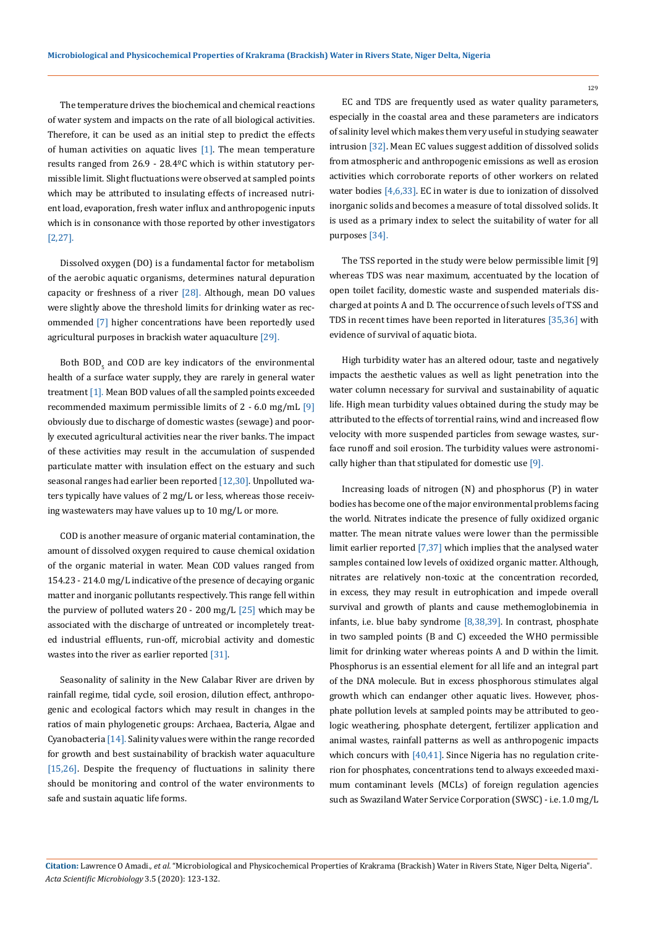The temperature drives the biochemical and chemical reactions of water system and impacts on the rate of all biological activities. Therefore, it can be used as an initial step to predict the effects of human activities on aquatic lives  $[1]$ . The mean temperature results ranged from 26.9 - 28.4ºC which is within statutory permissible limit. Slight fluctuations were observed at sampled points which may be attributed to insulating effects of increased nutrient load, evaporation, fresh water influx and anthropogenic inputs which is in consonance with those reported by other investigators [2,27].

Dissolved oxygen (DO) is a fundamental factor for metabolism of the aerobic aquatic organisms, determines natural depuration capacity or freshness of a river  $[28]$ . Although, mean DO values were slightly above the threshold limits for drinking water as recommended [7] higher concentrations have been reportedly used agricultural purposes in brackish water aquaculture [29].

Both  $BOD_5$  and COD are key indicators of the environmental health of a surface water supply, they are rarely in general water treatment [1]. Mean BOD values of all the sampled points exceeded recommended maximum permissible limits of  $2 - 6.0$  mg/mL  $[9]$ obviously due to discharge of domestic wastes (sewage) and poorly executed agricultural activities near the river banks. The impact of these activities may result in the accumulation of suspended particulate matter with insulation effect on the estuary and such seasonal ranges had earlier been reported [12,30]. Unpolluted waters typically have values of 2 mg/L or less, whereas those receiving wastewaters may have values up to 10 mg/L or more.

COD is another measure of organic material contamination, the amount of dissolved oxygen required to cause chemical oxidation of the organic material in water. Mean COD values ranged from 154.23 - 214.0 mg/L indicative of the presence of decaying organic matter and inorganic pollutants respectively. This range fell within the purview of polluted waters 20 - 200 mg/L  $[25]$  which may be associated with the discharge of untreated or incompletely treated industrial effluents, run-off, microbial activity and domestic wastes into the river as earlier reported [31].

Seasonality of salinity in the New Calabar River are driven by rainfall regime, tidal cycle, soil erosion, dilution effect, anthropogenic and ecological factors which may result in changes in the ratios of main phylogenetic groups: Archaea, Bacteria, Algae and Cyanobacteria [14]. Salinity values were within the range recorded for growth and best sustainability of brackish water aquaculture [15,26]. Despite the frequency of fluctuations in salinity there should be monitoring and control of the water environments to safe and sustain aquatic life forms.

EC and TDS are frequently used as water quality parameters, especially in the coastal area and these parameters are indicators of salinity level which makes them very useful in studying seawater intrusion [32]. Mean EC values suggest addition of dissolved solids from atmospheric and anthropogenic emissions as well as erosion activities which corroborate reports of other workers on related water bodies [4,6,33]. EC in water is due to ionization of dissolved inorganic solids and becomes a measure of total dissolved solids. It is used as a primary index to select the suitability of water for all purposes [34].

The TSS reported in the study were below permissible limit [9] whereas TDS was near maximum, accentuated by the location of open toilet facility, domestic waste and suspended materials discharged at points A and D. The occurrence of such levels of TSS and TDS in recent times have been reported in literatures [35,36] with evidence of survival of aquatic biota.

High turbidity water has an altered odour, taste and negatively impacts the aesthetic values as well as light penetration into the water column necessary for survival and sustainability of aquatic life. High mean turbidity values obtained during the study may be attributed to the effects of torrential rains, wind and increased flow velocity with more suspended particles from sewage wastes, surface runoff and soil erosion. The turbidity values were astronomically higher than that stipulated for domestic use [9].

Increasing loads of nitrogen (N) and phosphorus (P) in water bodies has become one of the major environmental problems facing the world. Nitrates indicate the presence of fully oxidized organic matter. The mean nitrate values were lower than the permissible limit earlier reported [7,37] which implies that the analysed water samples contained low levels of oxidized organic matter. Although, nitrates are relatively non-toxic at the concentration recorded, in excess, they may result in eutrophication and impede overall survival and growth of plants and cause methemoglobinemia in infants, i.e. blue baby syndrome [8,38,39]. In contrast, phosphate in two sampled points (B and C) exceeded the WHO permissible limit for drinking water whereas points A and D within the limit. Phosphorus is an essential element for all life and an integral part of the DNA molecule. But in excess phosphorous stimulates algal growth which can endanger other aquatic lives. However, phosphate pollution levels at sampled points may be attributed to geologic weathering, phosphate detergent, fertilizer application and animal wastes, rainfall patterns as well as anthropogenic impacts which concurs with [40,41]. Since Nigeria has no regulation criterion for phosphates, concentrations tend to always exceeded maximum contaminant levels (MCLs) of foreign regulation agencies such as Swaziland Water Service Corporation (SWSC) - i.e. 1.0 mg/L

**Citation:** Lawrence O Amadi*., et al.* "Microbiological and Physicochemical Properties of Krakrama (Brackish) Water in Rivers State, Niger Delta, Nigeria". *Acta Scientific Microbiology* 3.5 (2020): 123-132.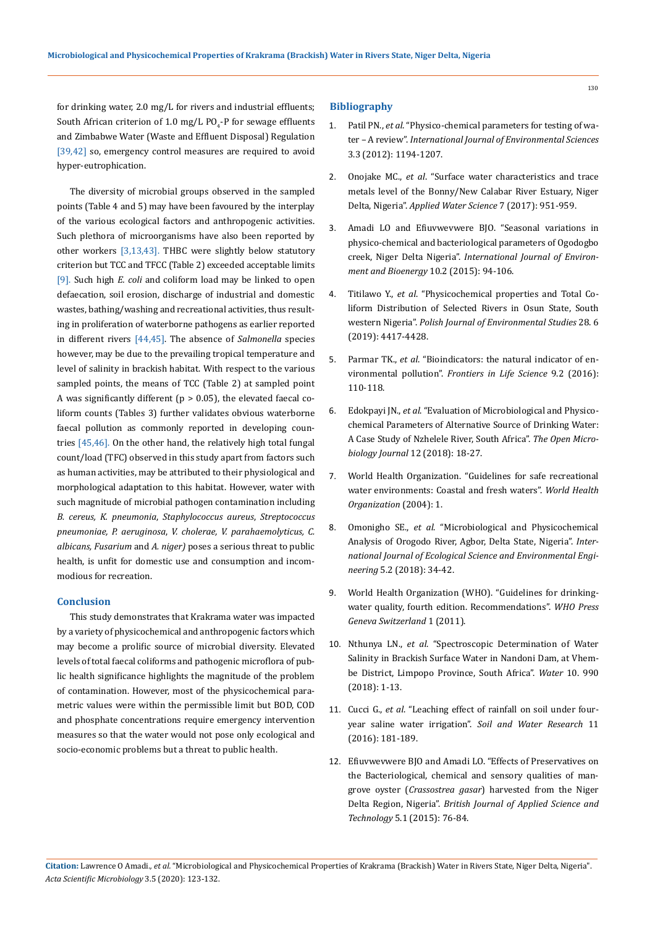for drinking water, 2.0 mg/L for rivers and industrial effluents; South African criterion of 1.0 mg/L PO<sub>4</sub>-P for sewage effluents and Zimbabwe Water (Waste and Effluent Disposal) Regulation [39,42] so, emergency control measures are required to avoid hyper-eutrophication.

The diversity of microbial groups observed in the sampled points (Table 4 and 5) may have been favoured by the interplay of the various ecological factors and anthropogenic activities. Such plethora of microorganisms have also been reported by other workers [3,13,43]. THBC were slightly below statutory criterion but TCC and TFCC (Table 2) exceeded acceptable limits [9]. Such high *E. coli* and coliform load may be linked to open defaecation, soil erosion, discharge of industrial and domestic wastes, bathing/washing and recreational activities, thus resulting in proliferation of waterborne pathogens as earlier reported in different rivers [44,45]. The absence of *Salmonella* species however, may be due to the prevailing tropical temperature and level of salinity in brackish habitat. With respect to the various sampled points, the means of TCC (Table 2) at sampled point A was significantly different ( $p > 0.05$ ), the elevated faecal coliform counts (Tables 3) further validates obvious waterborne faecal pollution as commonly reported in developing countries [45,46]. On the other hand, the relatively high total fungal count/load (TFC) observed in this study apart from factors such as human activities, may be attributed to their physiological and morphological adaptation to this habitat. However, water with such magnitude of microbial pathogen contamination including *B. cereus, K. pneumonia*, *Staphylococcus aureus*, *Streptococcus pneumoniae, P. aeruginosa*, *V. cholerae, V. parahaemolyticus, C. albicans, Fusarium* and *A. niger)* poses a serious threat to public health, is unfit for domestic use and consumption and incommodious for recreation.

#### **Conclusion**

This study demonstrates that Krakrama water was impacted by a variety of physicochemical and anthropogenic factors which may become a prolific source of microbial diversity. Elevated levels of total faecal coliforms and pathogenic microflora of public health significance highlights the magnitude of the problem of contamination. However, most of the physicochemical parametric values were within the permissible limit but BOD, COD and phosphate concentrations require emergency intervention measures so that the water would not pose only ecological and socio-economic problems but a threat to public health.

### **Bibliography**

- 1. Patil PN., *et al*[. "Physico-chemical parameters for testing of wa](http://www.ipublishing.co.in/ijesarticles/twelve/articles/volthree/EIJES31120.pdf)ter – A review". *[International Journal of Environmental Sciences](http://www.ipublishing.co.in/ijesarticles/twelve/articles/volthree/EIJES31120.pdf)*  [3.3 \(2012\): 1194-1207.](http://www.ipublishing.co.in/ijesarticles/twelve/articles/volthree/EIJES31120.pdf)
- 2. Onojake MC., *et al*[. "Surface water characteristics and trace](https://link.springer.com/article/10.1007/s13201-015-0306-y)  [metals level of the Bonny/New Calabar River Estuary, Niger](https://link.springer.com/article/10.1007/s13201-015-0306-y)  Delta, Nigeria". *[Applied Water Science](https://link.springer.com/article/10.1007/s13201-015-0306-y)* 7 (2017): 951-959.
- 3. [Amadi LO and Efiuvwevwere BJO. "Seasonal variations in](https://www.researchgate.net/publication/293047704_Seasonal_Variations_in_Physico-Chemical_and_Bacteriological_Parameters_of_Ogodogbo_Creek_Niger_Delta_Nigeria)  [physico-chemical and bacteriological parameters of Ogodogbo](https://www.researchgate.net/publication/293047704_Seasonal_Variations_in_Physico-Chemical_and_Bacteriological_Parameters_of_Ogodogbo_Creek_Niger_Delta_Nigeria)  creek, Niger Delta Nigeria". *[International Journal of Environ](https://www.researchgate.net/publication/293047704_Seasonal_Variations_in_Physico-Chemical_and_Bacteriological_Parameters_of_Ogodogbo_Creek_Niger_Delta_Nigeria)[ment and Bioenergy](https://www.researchgate.net/publication/293047704_Seasonal_Variations_in_Physico-Chemical_and_Bacteriological_Parameters_of_Ogodogbo_Creek_Niger_Delta_Nigeria)* 10.2 (2015): 94-106.
- 4. Titilawo Y., *et al*[. "Physicochemical properties and Total Co](http://www.pjoes.com/Physicochemical-Properties-and-Total-Coliform-nDistribution-of-Selected-Rivers-in,81561,0,2.html)[liform Distribution of Selected Rivers in Osun State, South](http://www.pjoes.com/Physicochemical-Properties-and-Total-Coliform-nDistribution-of-Selected-Rivers-in,81561,0,2.html)  western Nigeria". *[Polish Journal of Environmental Studies](http://www.pjoes.com/Physicochemical-Properties-and-Total-Coliform-nDistribution-of-Selected-Rivers-in,81561,0,2.html)* 28. 6 [\(2019\): 4417-4428.](http://www.pjoes.com/Physicochemical-Properties-and-Total-Coliform-nDistribution-of-Selected-Rivers-in,81561,0,2.html)
- 5. Parmar TK., *et al*[. "Bioindicators: the natural indicator of en](https://www.tandfonline.com/doi/full/10.1080/21553769.2016.1162753)vironmental pollution". *[Frontiers in Life Science](https://www.tandfonline.com/doi/full/10.1080/21553769.2016.1162753)* 9.2 (2016): [110-118.](https://www.tandfonline.com/doi/full/10.1080/21553769.2016.1162753)
- 6. Edokpayi JN., *et al*[. "Evaluation of Microbiological and Physico](https://www.ncbi.nlm.nih.gov/pmc/articles/PMC5842400/)[chemical Parameters of Alternative Source of Drinking Water:](https://www.ncbi.nlm.nih.gov/pmc/articles/PMC5842400/)  [A Case Study of Nzhelele River, South Africa".](https://www.ncbi.nlm.nih.gov/pmc/articles/PMC5842400/) *The Open Micro[biology Journal](https://www.ncbi.nlm.nih.gov/pmc/articles/PMC5842400/)* 12 (2018): 18-27.
- 7. [World Health Organization. "Guidelines for safe recreational](https://www.who.int/water_sanitation_health/publications/srwe1/en/)  [water environments: Coastal and fresh waters".](https://www.who.int/water_sanitation_health/publications/srwe1/en/) *World Health [Organization](https://www.who.int/water_sanitation_health/publications/srwe1/en/)* (2004): 1.
- 8. Omonigho SE., *et al*. "Microbiological and Physicochemical Analysis of Orogodo River, Agbor, Delta State, Nigeria". *International Journal of Ecological Science and Environmental Engineering* 5.2 (2018): 34-42.
- 9. [World Health Organization \(WHO\). "Guidelines for drinking](https://www.who.int/water_sanitation_health/publications/drinking-water-quality-guidelines-4-including-1st-addendum/en/)[water quality, fourth edition. Recommendations".](https://www.who.int/water_sanitation_health/publications/drinking-water-quality-guidelines-4-including-1st-addendum/en/) *WHO Press [Geneva Switzerland](https://www.who.int/water_sanitation_health/publications/drinking-water-quality-guidelines-4-including-1st-addendum/en/)* 1 (2011).
- 10. Nthunya LN., *et al*[. "Spectroscopic Determination of Water](https://www.preprints.org/manuscript/201807.0211/v1)  [Salinity in Brackish Surface Water in Nandoni Dam, at Vhem](https://www.preprints.org/manuscript/201807.0211/v1)[be District, Limpopo Province, South Africa".](https://www.preprints.org/manuscript/201807.0211/v1) *Water* 10. 990 [\(2018\): 1-13.](https://www.preprints.org/manuscript/201807.0211/v1)
- 11. Cucci G., *et al*[. "Leaching effect of rainfall on soil under four](https://www.agriculturejournals.cz/publicFiles/20_2015-SWR.pdf)year saline water irrigation". *[Soil and Water Research](https://www.agriculturejournals.cz/publicFiles/20_2015-SWR.pdf)* 11 [\(2016\): 181-189.](https://www.agriculturejournals.cz/publicFiles/20_2015-SWR.pdf)
- 12. [Efiuvwevwere BJO and Amadi LO. "Effects of Preservatives on](http://www.journalcjast.com/index.php/CJAST/article/view/6461)  [the Bacteriological, chemical and sensory qualities of man](http://www.journalcjast.com/index.php/CJAST/article/view/6461)grove oyster (*Crassostrea gasar*[\) harvested from the Niger](http://www.journalcjast.com/index.php/CJAST/article/view/6461)  Delta Region, Nigeria". *[British Journal of Applied Science and](http://www.journalcjast.com/index.php/CJAST/article/view/6461)  Technology* [5.1 \(2015\): 76-84.](http://www.journalcjast.com/index.php/CJAST/article/view/6461)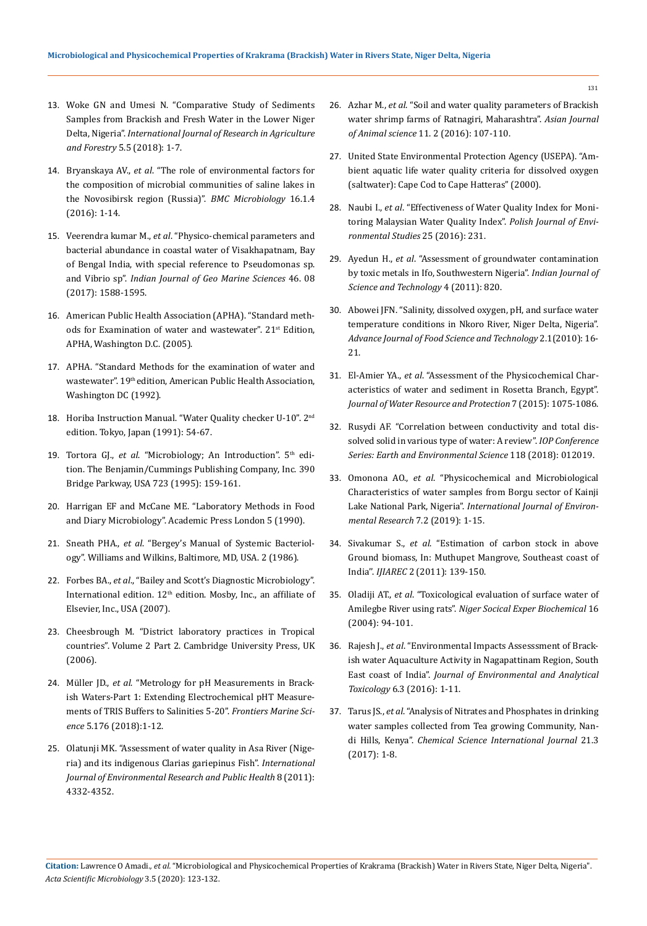- 13. [Woke GN and Umesi N. "Comparative Study of Sediments](file:///C:/Users/DELL/Desktop/Acta%20Scientific/Pdf%20Data/ASMI/ASMI-20-RA-065/Comparative%20Study%20of%20Sediments%20Samples%20from%20Brackish%20and%20Fresh%20Water%20in%20the%20Lower%20Niger%20Delta,%20Nigeria)  [Samples from Brackish and Fresh Water in the Lower Niger](file:///C:/Users/DELL/Desktop/Acta%20Scientific/Pdf%20Data/ASMI/ASMI-20-RA-065/Comparative%20Study%20of%20Sediments%20Samples%20from%20Brackish%20and%20Fresh%20Water%20in%20the%20Lower%20Niger%20Delta,%20Nigeria)  Delta, Nigeria". *[International Journal of Research in Agriculture](file:///C:/Users/DELL/Desktop/Acta%20Scientific/Pdf%20Data/ASMI/ASMI-20-RA-065/Comparative%20Study%20of%20Sediments%20Samples%20from%20Brackish%20and%20Fresh%20Water%20in%20the%20Lower%20Niger%20Delta,%20Nigeria)  [and Forestry](file:///C:/Users/DELL/Desktop/Acta%20Scientific/Pdf%20Data/ASMI/ASMI-20-RA-065/Comparative%20Study%20of%20Sediments%20Samples%20from%20Brackish%20and%20Fresh%20Water%20in%20the%20Lower%20Niger%20Delta,%20Nigeria)* 5.5 (2018): 1-7.
- 14. Bryanskaya AV., *et al*[. "The role of environmental factors for](https://bmcmicrobiol.biomedcentral.com/articles/10.1186/s12866-015-0618-y)  [the composition of microbial communities of saline lakes in](https://bmcmicrobiol.biomedcentral.com/articles/10.1186/s12866-015-0618-y)  [the Novosibirsk region \(Russia\)".](https://bmcmicrobiol.biomedcentral.com/articles/10.1186/s12866-015-0618-y) *BMC Microbiology* 16.1.4 [\(2016\): 1-14.](https://bmcmicrobiol.biomedcentral.com/articles/10.1186/s12866-015-0618-y)
- 15. Veerendra kumar M., *et al*[. "Physico-chemical parameters and](http://eprints.cmfri.org.in/12071/)  [bacterial abundance in coastal water of Visakhapatnam, Bay](http://eprints.cmfri.org.in/12071/)  [of Bengal India, with special reference to Pseudomonas sp.](http://eprints.cmfri.org.in/12071/)  and Vibrio sp". *[Indian Journal of Geo Marine Sciences](http://eprints.cmfri.org.in/12071/)* 46. 08 [\(2017\): 1588-1595.](http://eprints.cmfri.org.in/12071/)
- 16. American Public Health Association (APHA). "Standard methods for Examination of water and wastewater". 21<sup>st</sup> Edition, APHA, Washington D.C. (2005).
- 17. APHA. "Standard Methods for the examination of water and wastewater". 19<sup>th</sup> edition, American Public Health Association, Washington DC (1992).
- 18. Horiba Instruction Manual. "Water Quality checker U-10". 2nd edition. Tokyo, Japan (1991): 54-67.
- 19. Tortora GJ., et al. "Microbiology; An Introduction". 5<sup>th</sup> edition. The Benjamin/Cummings Publishing Company, Inc. 390 Bridge Parkway, USA 723 (1995): 159-161.
- 20. Harrigan EF and McCane ME. "Laboratory Methods in Food and Diary Microbiology". Academic Press London 5 (1990).
- 21. Sneath PHA., *et al*. "Bergey's Manual of Systemic Bacteriology". Williams and Wilkins, Baltimore, MD, USA. 2 (1986).
- 22. Forbes BA., *et al*., "Bailey and Scott's Diagnostic Microbiology". International edition. 12th edition. Mosby, Inc., an affiliate of Elsevier, Inc., USA (2007).
- 23. Cheesbrough M. "District laboratory practices in Tropical countries". Volume 2 Part 2. Cambridge University Press, UK (2006).
- 24. Müller JD., *et al*[. "Metrology for pH Measurements in Brack](https://www.frontiersin.org/articles/10.3389/fmars.2018.00176/full)[ish Waters-Part 1: Extending Electrochemical pHT Measure](https://www.frontiersin.org/articles/10.3389/fmars.2018.00176/full)[ments of TRIS Buffers to Salinities 5-20".](https://www.frontiersin.org/articles/10.3389/fmars.2018.00176/full) *Frontiers Marine Science* [5.176 \(2018\):1-12.](https://www.frontiersin.org/articles/10.3389/fmars.2018.00176/full)
- 25. [Olatunji MK. "Assessment of water quality in Asa River \(Nige](https://www.ncbi.nlm.nih.gov/pmc/articles/PMC3228574/)[ria\) and its indigenous Clarias gariepinus Fish".](https://www.ncbi.nlm.nih.gov/pmc/articles/PMC3228574/) *International [Journal of Environmental Research and Public Health](https://www.ncbi.nlm.nih.gov/pmc/articles/PMC3228574/)* 8 (2011): [4332-4352.](https://www.ncbi.nlm.nih.gov/pmc/articles/PMC3228574/)
- 26. Azhar M., *et al*[. "Soil and water quality parameters of Brackish](https://www.researchgate.net/publication/313270675_Soil_and_water_quality_parameters_of_Brackish_water_shrimp_farms_of_Ratnagiri_Maharashtra)  [water shrimp farms of Ratnagiri, Maharashtra".](https://www.researchgate.net/publication/313270675_Soil_and_water_quality_parameters_of_Brackish_water_shrimp_farms_of_Ratnagiri_Maharashtra) *Asian Journal of Animal science* [11. 2 \(2016\): 107-110.](https://www.researchgate.net/publication/313270675_Soil_and_water_quality_parameters_of_Brackish_water_shrimp_farms_of_Ratnagiri_Maharashtra)
- 27. United State Environmental Protection Agency (USEPA). "Ambient aquatic life water quality criteria for dissolved oxygen (saltwater): Cape Cod to Cape Hatteras" (2000).
- 28. Naubi I., *et al*[. "Effectiveness of Water Quality Index for Moni](https://www.researchgate.net/publication/288672929_Effectiveness_of_Water_Quality_Index_for_Monitoring_Malaysian_River_Water_Quality)[toring Malaysian Water Quality Index".](https://www.researchgate.net/publication/288672929_Effectiveness_of_Water_Quality_Index_for_Monitoring_Malaysian_River_Water_Quality) *Polish Journal of Envi[ronmental Studies](https://www.researchgate.net/publication/288672929_Effectiveness_of_Water_Quality_Index_for_Monitoring_Malaysian_River_Water_Quality)* 25 (2016): 231.
- 29. Ayedun H., *et al*[. "Assessment of groundwater contamination](https://www.researchgate.net/publication/287611962_Assessment_of_groundwater_contamination_by_toxic_metals_in_Ifo_Southwestern_Nigeria)  [by toxic metals in Ifo, Southwestern Nigeria".](https://www.researchgate.net/publication/287611962_Assessment_of_groundwater_contamination_by_toxic_metals_in_Ifo_Southwestern_Nigeria) *Indian Journal of [Science and Technology](https://www.researchgate.net/publication/287611962_Assessment_of_groundwater_contamination_by_toxic_metals_in_Ifo_Southwestern_Nigeria)* 4 (2011): 820.
- 30. [Abowei JFN. "Salinity, dissolved oxygen, pH, and surface water](https://www.researchgate.net/publication/42586912_Salinity_Dissolved_Oxygen_pH_and_Surface_Water_Temperature_Conditions_in_Nkoro_River_Niger_Delta_Nigeria)  [temperature conditions in Nkoro River, Niger Delta, Nigeria".](https://www.researchgate.net/publication/42586912_Salinity_Dissolved_Oxygen_pH_and_Surface_Water_Temperature_Conditions_in_Nkoro_River_Niger_Delta_Nigeria)  *[Advance Journal of Food Science and Technology](https://www.researchgate.net/publication/42586912_Salinity_Dissolved_Oxygen_pH_and_Surface_Water_Temperature_Conditions_in_Nkoro_River_Niger_Delta_Nigeria)* 2.1(2010): 16- [21.](https://www.researchgate.net/publication/42586912_Salinity_Dissolved_Oxygen_pH_and_Surface_Water_Temperature_Conditions_in_Nkoro_River_Niger_Delta_Nigeria)
- 31. El-Amier YA., *et al*[. "Assessment of the Physicochemical Char](https://www.researchgate.net/publication/282051506_Assessment_the_Physico-Chemical_Characteristics_of_Water_and_Sediment_in_Rosetta_Branch_Egypt)[acteristics of water and sediment in Rosetta Branch, Egypt".](https://www.researchgate.net/publication/282051506_Assessment_the_Physico-Chemical_Characteristics_of_Water_and_Sediment_in_Rosetta_Branch_Egypt)  *[Journal of Water Resource and Protection](https://www.researchgate.net/publication/282051506_Assessment_the_Physico-Chemical_Characteristics_of_Water_and_Sediment_in_Rosetta_Branch_Egypt)* 7 (2015): 1075-1086.
- 32. [Rusydi AF. "Correlation between conductivity and total dis](https://iopscience.iop.org/article/10.1088/1755-1315/118/1/012019)[solved solid in various type of water: A review".](https://iopscience.iop.org/article/10.1088/1755-1315/118/1/012019) *IOP Conference [Series: Earth and Environmental Science](https://iopscience.iop.org/article/10.1088/1755-1315/118/1/012019)* 118 (2018): 012019.
- 33. Omonona AO., *et al*[. "Physicochemical and Microbiological](https://www.researchgate.net/publication/340256873_PHYSICOCHEMICAL_AND_MICROBIOLOGICAL_CHARACTERISTICS_OF_WATER_SAMPLES_FROM_THE_BORGU_SECTOR_OF_KAINJI_LAKE_NATIONAL_PARK_NIGERIA)  [Characteristics of water samples from Borgu sector of Kainji](https://www.researchgate.net/publication/340256873_PHYSICOCHEMICAL_AND_MICROBIOLOGICAL_CHARACTERISTICS_OF_WATER_SAMPLES_FROM_THE_BORGU_SECTOR_OF_KAINJI_LAKE_NATIONAL_PARK_NIGERIA)  Lake National Park, Nigeria". *[International Journal of Environ](https://www.researchgate.net/publication/340256873_PHYSICOCHEMICAL_AND_MICROBIOLOGICAL_CHARACTERISTICS_OF_WATER_SAMPLES_FROM_THE_BORGU_SECTOR_OF_KAINJI_LAKE_NATIONAL_PARK_NIGERIA)[mental Research](https://www.researchgate.net/publication/340256873_PHYSICOCHEMICAL_AND_MICROBIOLOGICAL_CHARACTERISTICS_OF_WATER_SAMPLES_FROM_THE_BORGU_SECTOR_OF_KAINJI_LAKE_NATIONAL_PARK_NIGERIA)* 7.2 (2019): 1-15.
- 34. Sivakumar S., *et al*[. "Estimation of carbon stock in above](https://www.academia.edu/9733783/ESTIMATION_OF_CARBON_STOCKS_IN_ABOVE_GROUND_BIOMASS_IN_MUTHUPET_MANGROVE_SOUTHEAST_COAST_OF_INDIA_)  [Ground biomass, In: Muthupet Mangrove, Southeast coast of](https://www.academia.edu/9733783/ESTIMATION_OF_CARBON_STOCKS_IN_ABOVE_GROUND_BIOMASS_IN_MUTHUPET_MANGROVE_SOUTHEAST_COAST_OF_INDIA_)  India''. *IJIAREC* [2 \(2011\): 139-150.](https://www.academia.edu/9733783/ESTIMATION_OF_CARBON_STOCKS_IN_ABOVE_GROUND_BIOMASS_IN_MUTHUPET_MANGROVE_SOUTHEAST_COAST_OF_INDIA_)
- 35. Oladiji AT., *et al*[. "Toxicological evaluation of surface water of](https://www.ajol.info/index.php/biokem/article/view/32576)  Amilegbe River using rats". *[Niger Socical Exper Biochemical](https://www.ajol.info/index.php/biokem/article/view/32576)* 16 [\(2004\): 94-101.](https://www.ajol.info/index.php/biokem/article/view/32576)
- 36. Rajesh J., *et al*[. "Environmental Impacts Assesssment of Brack](https://www.hilarispublisher.com/abstract/environmental-impacts-assessment-of-brackish-water-aquaculture-activity-in-nagapattinam-region-south-east-coast-of-india-40307.html)[ish water Aquaculture Activity in Nagapattinam Region, South](https://www.hilarispublisher.com/abstract/environmental-impacts-assessment-of-brackish-water-aquaculture-activity-in-nagapattinam-region-south-east-coast-of-india-40307.html)  East coast of India". *[Journal of Environmental and Analytical](https://www.hilarispublisher.com/abstract/environmental-impacts-assessment-of-brackish-water-aquaculture-activity-in-nagapattinam-region-south-east-coast-of-india-40307.html)  Toxicology* [6.3 \(2016\): 1-11.](https://www.hilarispublisher.com/abstract/environmental-impacts-assessment-of-brackish-water-aquaculture-activity-in-nagapattinam-region-south-east-coast-of-india-40307.html)
- 37. Tarus JS., *et al*[. "Analysis of Nitrates and Phosphates in drinking](http://www.journalcsij.com/index.php/CSIJ/article/view/8929)  [water samples collected from Tea growing Community, Nan](http://www.journalcsij.com/index.php/CSIJ/article/view/8929)di Hills, Kenya". *[Chemical Science International Journal](http://www.journalcsij.com/index.php/CSIJ/article/view/8929)* 21.3 [\(2017\): 1-8.](http://www.journalcsij.com/index.php/CSIJ/article/view/8929)